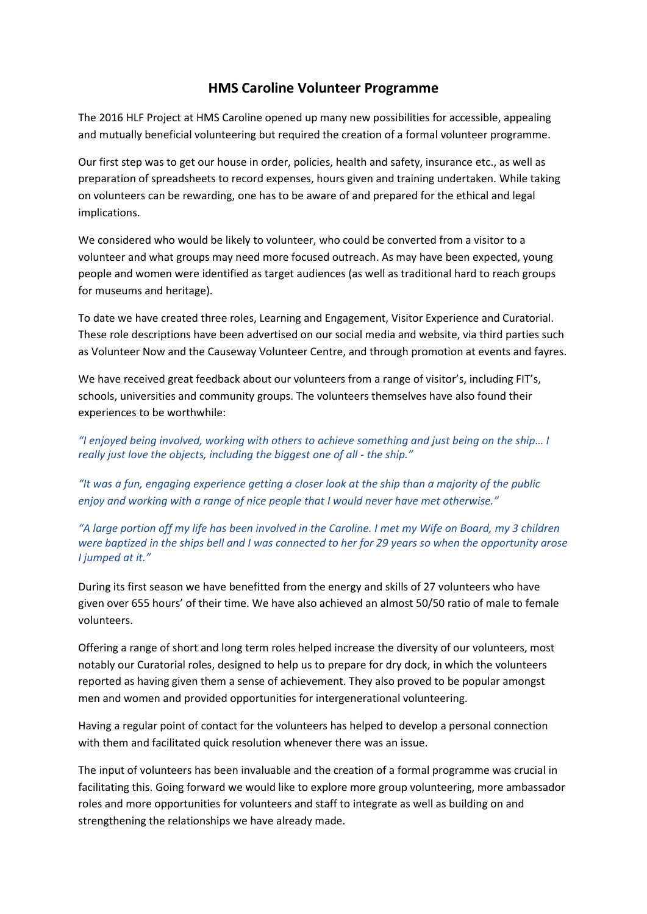## **HMS Caroline Volunteer Programme**

The 2016 HLF Project at HMS Caroline opened up many new possibilities for accessible, appealing and mutually beneficial volunteering but required the creation of a formal volunteer programme.

Our first step was to get our house in order, policies, health and safety, insurance etc., as well as preparation of spreadsheets to record expenses, hours given and training undertaken. While taking on volunteers can be rewarding, one has to be aware of and prepared for the ethical and legal implications.

We considered who would be likely to volunteer, who could be converted from a visitor to a volunteer and what groups may need more focused outreach. As may have been expected, young people and women were identified as target audiences (as well as traditional hard to reach groups for museums and heritage).

To date we have created three roles, Learning and Engagement, Visitor Experience and Curatorial. These role descriptions have been advertised on our social media and website, via third parties such as Volunteer Now and the Causeway Volunteer Centre, and through promotion at events and fayres.

We have received great feedback about our volunteers from a range of visitor's, including FIT's, schools, universities and community groups. The volunteers themselves have also found their experiences to be worthwhile:

*"I enjoyed being involved, working with others to achieve something and just being on the ship… I really just love the objects, including the biggest one of all - the ship."*

*"It was a fun, engaging experience getting a closer look at the ship than a majority of the public enjoy and working with a range of nice people that I would never have met otherwise."*

*"A large portion off my life has been involved in the Caroline. I met my Wife on Board, my 3 children were baptized in the ships bell and I was connected to her for 29 years so when the opportunity arose I jumped at it."*

During its first season we have benefitted from the energy and skills of 27 volunteers who have given over 655 hours' of their time. We have also achieved an almost 50/50 ratio of male to female volunteers.

Offering a range of short and long term roles helped increase the diversity of our volunteers, most notably our Curatorial roles, designed to help us to prepare for dry dock, in which the volunteers reported as having given them a sense of achievement. They also proved to be popular amongst men and women and provided opportunities for intergenerational volunteering.

Having a regular point of contact for the volunteers has helped to develop a personal connection with them and facilitated quick resolution whenever there was an issue.

The input of volunteers has been invaluable and the creation of a formal programme was crucial in facilitating this. Going forward we would like to explore more group volunteering, more ambassador roles and more opportunities for volunteers and staff to integrate as well as building on and strengthening the relationships we have already made.